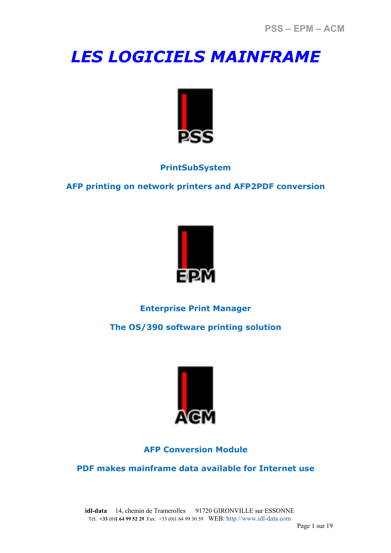# *LES LOGICIELS MAINFRAME*



# **PrintSubSystem**

**AFP printing on network printers and AFP2PDF conversion** 



# **Enterprise Print Manager**

**The OS/390 software printing solution** 



# **AFP Conversion Module**

**PDF makes mainframe data available for Internet use** 

**idl-data** 14, chemin de Tramerolles 91720 GIRONVILLE sur ESSONNE Tél: **+33** (0)**1 64 99 52 29** Fax: +33 (0)1 64 99 30 59 WEB: http://www.idl-data.com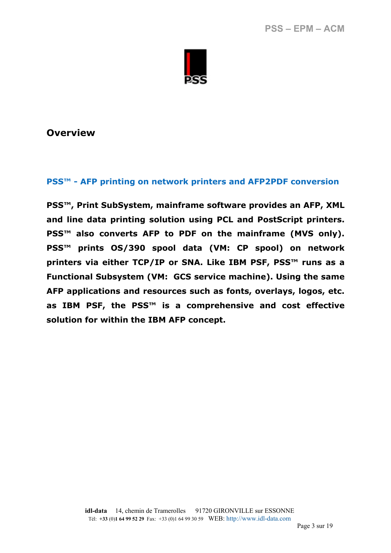

#### **PSS™ - AFP printing on network printers and AFP2PDF conversion**

**PSS™, Print SubSystem, mainframe software provides an AFP, XML and line data printing solution using PCL and PostScript printers. PSS™ also converts AFP to PDF on the mainframe (MVS only). PSS™ prints OS/390 spool data (VM: CP spool) on network printers via either TCP/IP or SNA. Like IBM PSF, PSS™ runs as a Functional Subsystem (VM: GCS service machine). Using the same AFP applications and resources such as fonts, overlays, logos, etc. as IBM PSF, the PSS™ is a comprehensive and cost effective solution for within the IBM AFP concept.**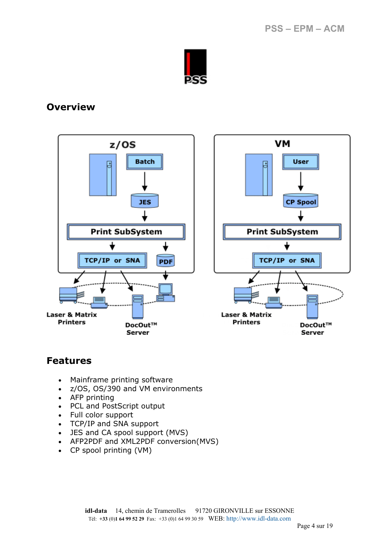



# **Features**

- Mainframe printing software
- z/OS, OS/390 and VM environments
- AFP printing
- PCL and PostScript output
- Full color support
- TCP/IP and SNA support
- JES and CA spool support (MVS)
- AFP2PDF and XML2PDF conversion(MVS)
- CP spool printing (VM)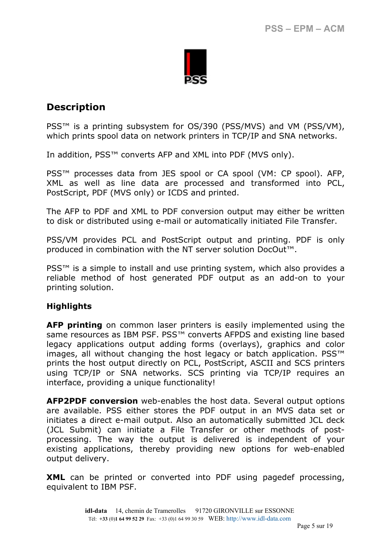

# **Description**

PSS<sup>™</sup> is a printing subsystem for OS/390 (PSS/MVS) and VM (PSS/VM), which prints spool data on network printers in TCP/IP and SNA networks.

In addition, PSS™ converts AFP and XML into PDF (MVS only).

PSS<sup>™</sup> processes data from JES spool or CA spool (VM: CP spool). AFP, XML as well as line data are processed and transformed into PCL, PostScript, PDF (MVS only) or ICDS and printed.

The AFP to PDF and XML to PDF conversion output may either be written to disk or distributed using e-mail or automatically initiated File Transfer.

PSS/VM provides PCL and PostScript output and printing. PDF is only produced in combination with the NT server solution DocOut™.

PSS<sup>™</sup> is a simple to install and use printing system, which also provides a reliable method of host generated PDF output as an add-on to your printing solution.

#### **Highlights**

**AFP printing** on common laser printers is easily implemented using the same resources as IBM PSF. PSS<sup>™</sup> converts AFPDS and existing line based legacy applications output adding forms (overlays), graphics and color images, all without changing the host legacy or batch application. PSS<sup>™</sup> prints the host output directly on PCL, PostScript, ASCII and SCS printers using TCP/IP or SNA networks. SCS printing via TCP/IP requires an interface, providing a unique functionality!

**AFP2PDF conversion** web-enables the host data. Several output options are available. PSS either stores the PDF output in an MVS data set or initiates a direct e-mail output. Also an automatically submitted JCL deck (JCL Submit) can initiate a File Transfer or other methods of postprocessing. The way the output is delivered is independent of your existing applications, thereby providing new options for web-enabled output delivery.

**XML** can be printed or converted into PDF using pagedef processing, equivalent to IBM PSF.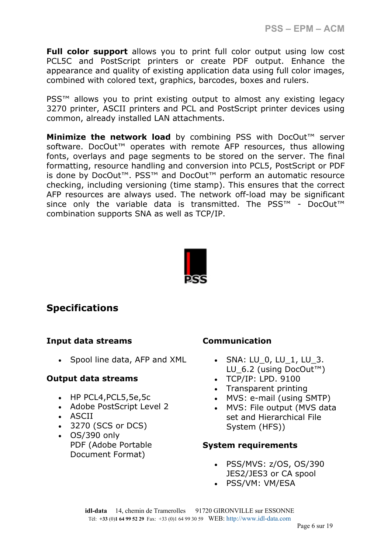**PSS – EPM – ACM** 

**Full color support** allows you to print full color output using low cost PCL5C and PostScript printers or create PDF output. Enhance the appearance and quality of existing application data using full color images, combined with colored text, graphics, barcodes, boxes and rulers.

PSS™ allows you to print existing output to almost any existing legacy 3270 printer, ASCII printers and PCL and PostScript printer devices using common, already installed LAN attachments.

**Minimize the network load** by combining PSS with DocOut<sup>™</sup> server software. DocOut™ operates with remote AFP resources, thus allowing fonts, overlays and page segments to be stored on the server. The final formatting, resource handling and conversion into PCL5, PostScript or PDF is done by DocOut™. PSS™ and DocOut™ perform an automatic resource checking, including versioning (time stamp). This ensures that the correct AFP resources are always used. The network off-load may be significant since only the variable data is transmitted. The PSS<sup>™</sup> - DocOut<sup>™</sup> combination supports SNA as well as TCP/IP.



# **Specifications**

#### **Input data streams**

• Spool line data, AFP and XML

#### **Output data streams**

- HP PCL4,PCL5,5e,5c
- Adobe PostScript Level 2
- ASCII
- 3270 (SCS or DCS)
- OS/390 only PDF (Adobe Portable Document Format)

#### **Communication**

- SNA:  $LU_0$ ,  $LU_1$ ,  $LU_3$ . LU\_6.2 (using DocOut™)
- TCP/IP: LPD. 9100
- Transparent printing
- MVS: e-mail (using SMTP)
- MVS: File output (MVS data set and Hierarchical File System (HFS))

#### **System requirements**

- PSS/MVS: z/OS, OS/390 JES2/JES3 or CA spool
- PSS/VM: VM/ESA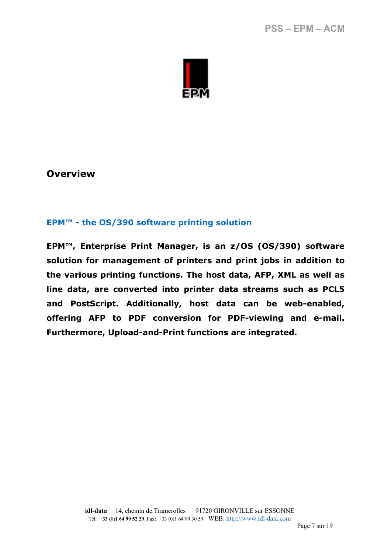

#### **EPM™ - the OS/390 software printing solution**

**EPM™, Enterprise Print Manager, is an z/OS (OS/390) software solution for management of printers and print jobs in addition to the various printing functions. The host data, AFP, XML as well as line data, are converted into printer data streams such as PCL5 and PostScript. Additionally, host data can be web-enabled, offering AFP to PDF conversion for PDF-viewing and e-mail. Furthermore, Upload-and-Print functions are integrated.**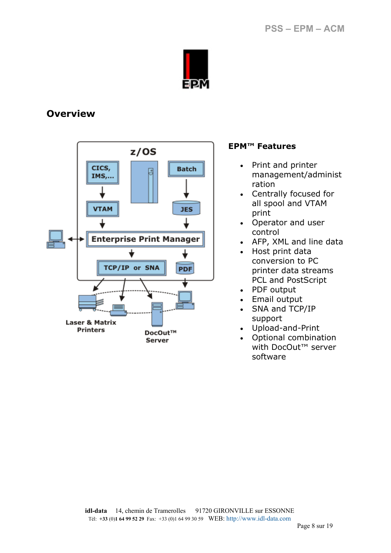



#### **EPM™ Features**

- Print and printer management/administ ration
- Centrally focused for all spool and VTAM print
- Operator and user control
- AFP, XML and line data
- Host print data conversion to PC printer data streams PCL and PostScript
- PDF output
- Email output
- SNA and TCP/IP support
- Upload-and-Print
- Optional combination with DocOut<sup>™</sup> server software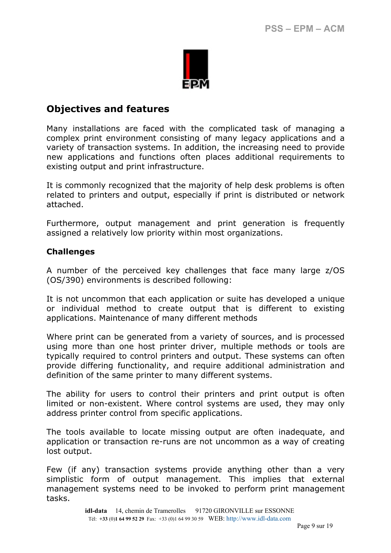

# **Objectives and features**

Many installations are faced with the complicated task of managing a complex print environment consisting of many legacy applications and a variety of transaction systems. In addition, the increasing need to provide new applications and functions often places additional requirements to existing output and print infrastructure.

It is commonly recognized that the majority of help desk problems is often related to printers and output, especially if print is distributed or network attached.

Furthermore, output management and print generation is frequently assigned a relatively low priority within most organizations.

#### **Challenges**

A number of the perceived key challenges that face many large z/OS (OS/390) environments is described following:

It is not uncommon that each application or suite has developed a unique or individual method to create output that is different to existing applications. Maintenance of many different methods

Where print can be generated from a variety of sources, and is processed using more than one host printer driver, multiple methods or tools are typically required to control printers and output. These systems can often provide differing functionality, and require additional administration and definition of the same printer to many different systems.

The ability for users to control their printers and print output is often limited or non-existent. Where control systems are used, they may only address printer control from specific applications.

The tools available to locate missing output are often inadequate, and application or transaction re-runs are not uncommon as a way of creating lost output.

Few (if any) transaction systems provide anything other than a very simplistic form of output management. This implies that external management systems need to be invoked to perform print management tasks.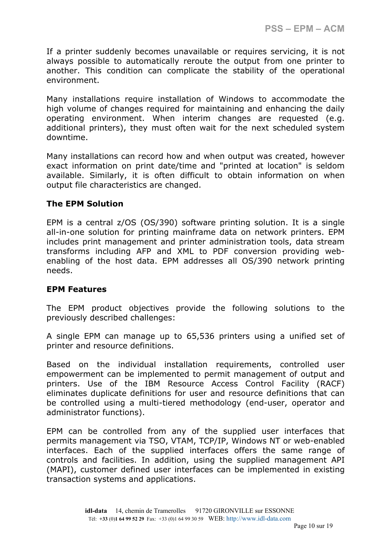If a printer suddenly becomes unavailable or requires servicing, it is not always possible to automatically reroute the output from one printer to another. This condition can complicate the stability of the operational environment.

Many installations require installation of Windows to accommodate the high volume of changes required for maintaining and enhancing the daily operating environment. When interim changes are requested (e.g. additional printers), they must often wait for the next scheduled system downtime.

Many installations can record how and when output was created, however exact information on print date/time and "printed at location" is seldom available. Similarly, it is often difficult to obtain information on when output file characteristics are changed.

#### **The EPM Solution**

EPM is a central z/OS (OS/390) software printing solution. It is a single all-in-one solution for printing mainframe data on network printers. EPM includes print management and printer administration tools, data stream transforms including AFP and XML to PDF conversion providing webenabling of the host data. EPM addresses all OS/390 network printing needs.

#### **EPM Features**

The EPM product objectives provide the following solutions to the previously described challenges:

A single EPM can manage up to 65,536 printers using a unified set of printer and resource definitions.

Based on the individual installation requirements, controlled user empowerment can be implemented to permit management of output and printers. Use of the IBM Resource Access Control Facility (RACF) eliminates duplicate definitions for user and resource definitions that can be controlled using a multi-tiered methodology (end-user, operator and administrator functions).

EPM can be controlled from any of the supplied user interfaces that permits management via TSO, VTAM, TCP/IP, Windows NT or web-enabled interfaces. Each of the supplied interfaces offers the same range of controls and facilities. In addition, using the supplied management API (MAPI), customer defined user interfaces can be implemented in existing transaction systems and applications.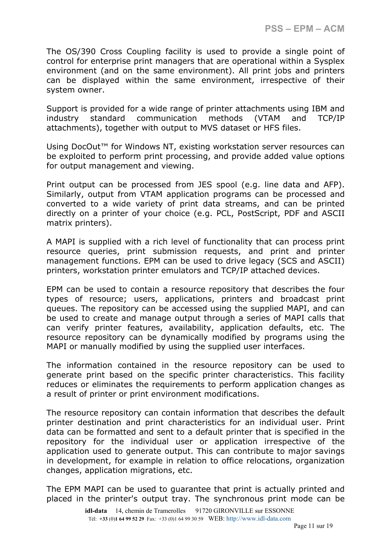The OS/390 Cross Coupling facility is used to provide a single point of control for enterprise print managers that are operational within a Sysplex environment (and on the same environment). All print jobs and printers can be displayed within the same environment, irrespective of their system owner.

Support is provided for a wide range of printer attachments using IBM and industry standard communication methods (VTAM and TCP/IP attachments), together with output to MVS dataset or HFS files.

Using DocOut<sup>™</sup> for Windows NT, existing workstation server resources can be exploited to perform print processing, and provide added value options for output management and viewing.

Print output can be processed from JES spool (e.g. line data and AFP). Similarly, output from VTAM application programs can be processed and converted to a wide variety of print data streams, and can be printed directly on a printer of your choice (e.g. PCL, PostScript, PDF and ASCII matrix printers).

A MAPI is supplied with a rich level of functionality that can process print resource queries, print submission requests, and print and printer management functions. EPM can be used to drive legacy (SCS and ASCII) printers, workstation printer emulators and TCP/IP attached devices.

EPM can be used to contain a resource repository that describes the four types of resource; users, applications, printers and broadcast print queues. The repository can be accessed using the supplied MAPI, and can be used to create and manage output through a series of MAPI calls that can verify printer features, availability, application defaults, etc. The resource repository can be dynamically modified by programs using the MAPI or manually modified by using the supplied user interfaces.

The information contained in the resource repository can be used to generate print based on the specific printer characteristics. This facility reduces or eliminates the requirements to perform application changes as a result of printer or print environment modifications.

The resource repository can contain information that describes the default printer destination and print characteristics for an individual user. Print data can be formatted and sent to a default printer that is specified in the repository for the individual user or application irrespective of the application used to generate output. This can contribute to major savings in development, for example in relation to office relocations, organization changes, application migrations, etc.

The EPM MAPI can be used to guarantee that print is actually printed and placed in the printer's output tray. The synchronous print mode can be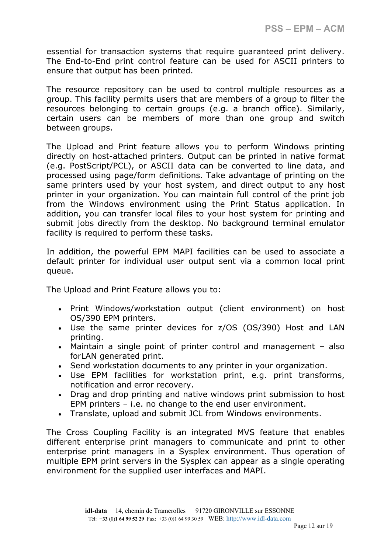essential for transaction systems that require guaranteed print delivery. The End-to-End print control feature can be used for ASCII printers to ensure that output has been printed.

The resource repository can be used to control multiple resources as a group. This facility permits users that are members of a group to filter the resources belonging to certain groups (e.g. a branch office). Similarly, certain users can be members of more than one group and switch between groups.

The Upload and Print feature allows you to perform Windows printing directly on host-attached printers. Output can be printed in native format (e.g. PostScript/PCL), or ASCII data can be converted to line data, and processed using page/form definitions. Take advantage of printing on the same printers used by your host system, and direct output to any host printer in your organization. You can maintain full control of the print job from the Windows environment using the Print Status application. In addition, you can transfer local files to your host system for printing and submit jobs directly from the desktop. No background terminal emulator facility is required to perform these tasks.

In addition, the powerful EPM MAPI facilities can be used to associate a default printer for individual user output sent via a common local print queue.

The Upload and Print Feature allows you to:

- Print Windows/workstation output (client environment) on host OS/390 EPM printers.
- Use the same printer devices for z/OS (OS/390) Host and LAN printing.
- Maintain a single point of printer control and management also forLAN generated print.
- Send workstation documents to any printer in your organization.
- Use EPM facilities for workstation print, e.g. print transforms, notification and error recovery.
- Drag and drop printing and native windows print submission to host EPM printers – i.e. no change to the end user environment.
- Translate, upload and submit JCL from Windows environments.

The Cross Coupling Facility is an integrated MVS feature that enables different enterprise print managers to communicate and print to other enterprise print managers in a Sysplex environment. Thus operation of multiple EPM print servers in the Sysplex can appear as a single operating environment for the supplied user interfaces and MAPI.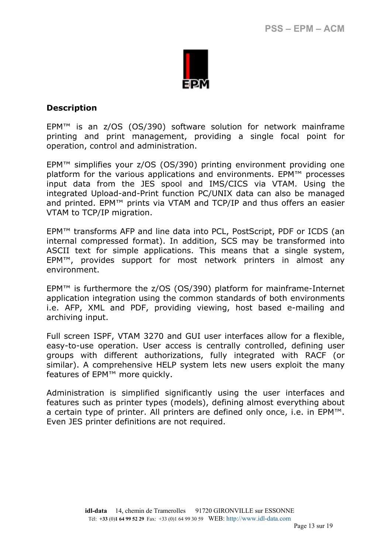

#### **Description**

EPM™ is an z/OS (OS/390) software solution for network mainframe printing and print management, providing a single focal point for operation, control and administration.

EPM™ simplifies your z/OS (OS/390) printing environment providing one platform for the various applications and environments. EPM™ processes input data from the JES spool and IMS/CICS via VTAM. Using the integrated Upload-and-Print function PC/UNIX data can also be managed and printed. EPM™ prints via VTAM and TCP/IP and thus offers an easier VTAM to TCP/IP migration.

EPM™ transforms AFP and line data into PCL, PostScript, PDF or ICDS (an internal compressed format). In addition, SCS may be transformed into ASCII text for simple applications. This means that a single system, EPM™, provides support for most network printers in almost any environment.

EPM<sup>™</sup> is furthermore the  $z/OS$  (OS/390) platform for mainframe-Internet application integration using the common standards of both environments i.e. AFP, XML and PDF, providing viewing, host based e-mailing and archiving input.

Full screen ISPF, VTAM 3270 and GUI user interfaces allow for a flexible, easy-to-use operation. User access is centrally controlled, defining user groups with different authorizations, fully integrated with RACF (or similar). A comprehensive HELP system lets new users exploit the many features of EPM™ more quickly.

Administration is simplified significantly using the user interfaces and features such as printer types (models), defining almost everything about a certain type of printer. All printers are defined only once, i.e. in EPM™. Even JES printer definitions are not required.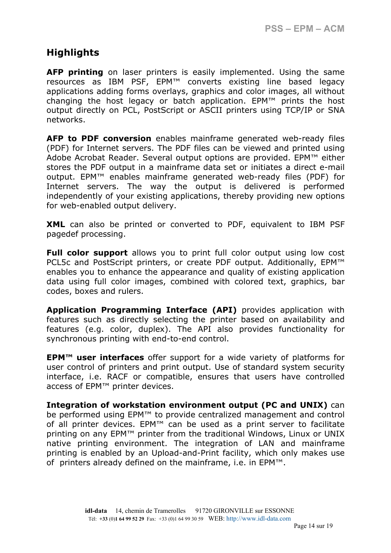# **Highlights**

**AFP printing** on laser printers is easily implemented. Using the same resources as IBM PSF, EPM™ converts existing line based legacy applications adding forms overlays, graphics and color images, all without changing the host legacy or batch application. EPM™ prints the host output directly on PCL, PostScript or ASCII printers using TCP/IP or SNA networks.

**AFP to PDF conversion** enables mainframe generated web-ready files (PDF) for Internet servers. The PDF files can be viewed and printed using Adobe Acrobat Reader. Several output options are provided. EPM™ either stores the PDF output in a mainframe data set or initiates a direct e-mail output. EPM™ enables mainframe generated web-ready files (PDF) for Internet servers. The way the output is delivered is performed independently of your existing applications, thereby providing new options for web-enabled output delivery.

**XML** can also be printed or converted to PDF, equivalent to IBM PSF pagedef processing.

**Full color support** allows you to print full color output using low cost PCL5c and PostScript printers, or create PDF output. Additionally, EPM™ enables you to enhance the appearance and quality of existing application data using full color images, combined with colored text, graphics, bar codes, boxes and rulers.

**Application Programming Interface (API)** provides application with features such as directly selecting the printer based on availability and features (e.g. color, duplex). The API also provides functionality for synchronous printing with end-to-end control.

**EPM™ user interfaces** offer support for a wide variety of platforms for user control of printers and print output. Use of standard system security interface, i.e. RACF or compatible, ensures that users have controlled access of EPM™ printer devices.

**Integration of workstation environment output (PC and UNIX)** can be performed using EPM™ to provide centralized management and control of all printer devices. EPM™ can be used as a print server to facilitate printing on any EPM™ printer from the traditional Windows, Linux or UNIX native printing environment. The integration of LAN and mainframe printing is enabled by an Upload-and-Print facility, which only makes use of printers already defined on the mainframe, i.e. in EPM™.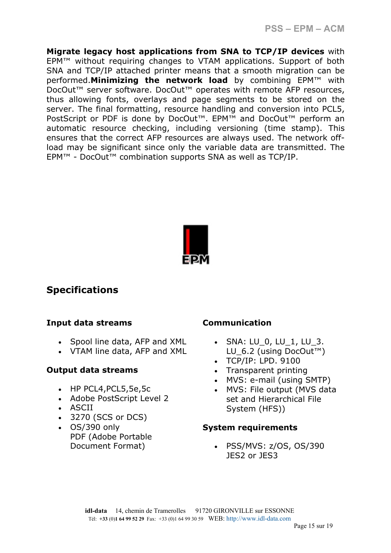**Migrate legacy host applications from SNA to TCP/IP devices** with EPM™ without requiring changes to VTAM applications. Support of both SNA and TCP/IP attached printer means that a smooth migration can be performed.**Minimizing the network load** by combining EPM™ with DocOut™ server software. DocOut™ operates with remote AFP resources, thus allowing fonts, overlays and page segments to be stored on the server. The final formatting, resource handling and conversion into PCL5, PostScript or PDF is done by DocOut™. EPM™ and DocOut™ perform an automatic resource checking, including versioning (time stamp). This ensures that the correct AFP resources are always used. The network offload may be significant since only the variable data are transmitted. The EPM™ - DocOut™ combination supports SNA as well as TCP/IP.



# **Specifications**

#### **Input data streams**

- Spool line data, AFP and XML
- VTAM line data, AFP and XML

#### **Output data streams**

- HP PCL4, PCL5, 5e, 5c
- Adobe PostScript Level 2
- ASCII
- 3270 (SCS or DCS)
- OS/390 only PDF (Adobe Portable Document Format)

# **Communication**

- SNA: LU 0, LU 1, LU 3. LU 6.2 (using DocOut™)
- TCP/IP: LPD. 9100
- Transparent printing
- MVS: e-mail (using SMTP)
- MVS: File output (MVS data set and Hierarchical File System (HFS))

#### **System requirements**

• PSS/MVS: z/OS, OS/390 JES2 or JES3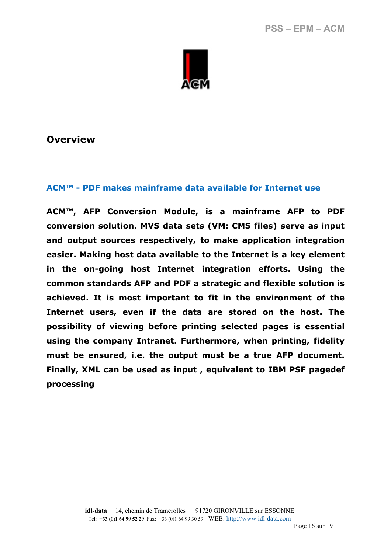

#### **ACM™ - PDF makes mainframe data available for Internet use**

**ACM™, AFP Conversion Module, is a mainframe AFP to PDF conversion solution. MVS data sets (VM: CMS files) serve as input and output sources respectively, to make application integration easier. Making host data available to the Internet is a key element in the on-going host Internet integration efforts. Using the common standards AFP and PDF a strategic and flexible solution is achieved. It is most important to fit in the environment of the Internet users, even if the data are stored on the host. The possibility of viewing before printing selected pages is essential using the company Intranet. Furthermore, when printing, fidelity must be ensured, i.e. the output must be a true AFP document. Finally, XML can be used as input , equivalent to IBM PSF pagedef processing**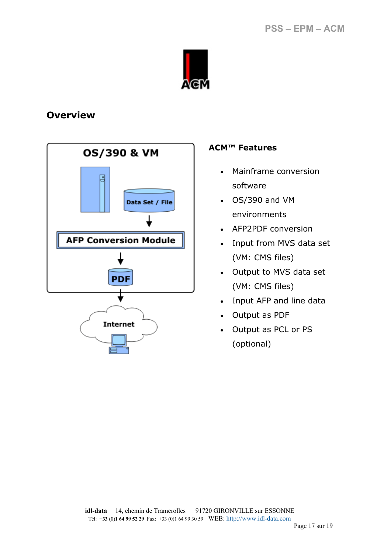



#### **ACM™ Features**

- Mainframe conversion software
- OS/390 and VM environments
- AFP2PDF conversion
- Input from MVS data set (VM: CMS files)
- Output to MVS data set (VM: CMS files)
- Input AFP and line data
- Output as PDF
- Output as PCL or PS (optional)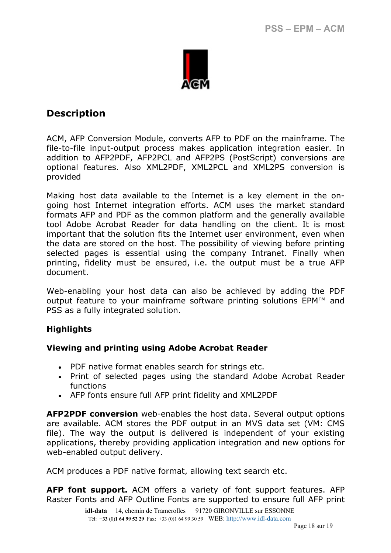

# **Description**

ACM, AFP Conversion Module, converts AFP to PDF on the mainframe. The file-to-file input-output process makes application integration easier. In addition to AFP2PDF, AFP2PCL and AFP2PS (PostScript) conversions are optional features. Also XML2PDF, XML2PCL and XML2PS conversion is provided

Making host data available to the Internet is a key element in the ongoing host Internet integration efforts. ACM uses the market standard formats AFP and PDF as the common platform and the generally available tool Adobe Acrobat Reader for data handling on the client. It is most important that the solution fits the Internet user environment, even when the data are stored on the host. The possibility of viewing before printing selected pages is essential using the company Intranet. Finally when printing, fidelity must be ensured, i.e. the output must be a true AFP document.

Web-enabling your host data can also be achieved by adding the PDF output feature to your mainframe software printing solutions EPM™ and PSS as a fully integrated solution.

#### **Highlights**

#### **Viewing and printing using Adobe Acrobat Reader**

- PDF native format enables search for strings etc.
- Print of selected pages using the standard Adobe Acrobat Reader functions
- AFP fonts ensure full AFP print fidelity and XML2PDF

**AFP2PDF conversion** web-enables the host data. Several output options are available. ACM stores the PDF output in an MVS data set (VM: CMS file). The way the output is delivered is independent of your existing applications, thereby providing application integration and new options for web-enabled output delivery.

ACM produces a PDF native format, allowing text search etc.

**AFP font support.** ACM offers a variety of font support features. AFP Raster Fonts and AFP Outline Fonts are supported to ensure full AFP print